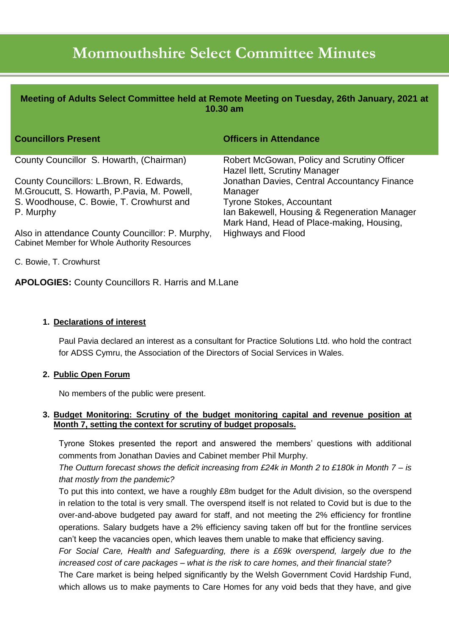# **Monmouthshire Select Committee Minutes**

| Meeting of Adults Select Committee held at Remote Meeting on Tuesday, 26th January, 2021 at<br>10.30 am |                                                                                           |
|---------------------------------------------------------------------------------------------------------|-------------------------------------------------------------------------------------------|
| <b>Councillors Present</b>                                                                              | <b>Officers in Attendance</b>                                                             |
| County Councillor S. Howarth, (Chairman)                                                                | Robert McGowan, Policy and Scrutiny Officer                                               |
| County Councillors: L.Brown, R. Edwards,<br>M. Groucutt, S. Howarth, P. Pavia, M. Powell,               | Hazel Ilett, Scrutiny Manager<br>Jonathan Davies, Central Accountancy Finance<br>Manager  |
| S. Woodhouse, C. Bowie, T. Crowhurst and                                                                | <b>Tyrone Stokes, Accountant</b>                                                          |
| P. Murphy                                                                                               | Ian Bakewell, Housing & Regeneration Manager<br>Mark Hand, Head of Place-making, Housing, |
| Also in attendance County Councillor: P. Murphy,<br><b>Cabinet Member for Whole Authority Resources</b> | <b>Highways and Flood</b>                                                                 |

C. Bowie, T. Crowhurst

**APOLOGIES:** County Councillors R. Harris and M.Lane

# **1. Declarations of interest**

Paul Pavia declared an interest as a consultant for Practice Solutions Ltd. who hold the contract for ADSS Cymru, the Association of the Directors of Social Services in Wales.

# **2. Public Open Forum**

No members of the public were present.

# **3. Budget Monitoring: Scrutiny of the budget monitoring capital and revenue position at Month 7, setting the context for scrutiny of budget proposals.**

Tyrone Stokes presented the report and answered the members' questions with additional comments from Jonathan Davies and Cabinet member Phil Murphy.

*The Outturn forecast shows the deficit increasing from £24k in Month 2 to £180k in Month 7 – is that mostly from the pandemic?*

To put this into context, we have a roughly £8m budget for the Adult division, so the overspend in relation to the total is very small. The overspend itself is not related to Covid but is due to the over-and-above budgeted pay award for staff, and not meeting the 2% efficiency for frontline operations. Salary budgets have a 2% efficiency saving taken off but for the frontline services can't keep the vacancies open, which leaves them unable to make that efficiency saving.

*For Social Care, Health and Safeguarding, there is a £69k overspend, largely due to the increased cost of care packages – what is the risk to care homes, and their financial state?*

The Care market is being helped significantly by the Welsh Government Covid Hardship Fund, which allows us to make payments to Care Homes for any void beds that they have, and give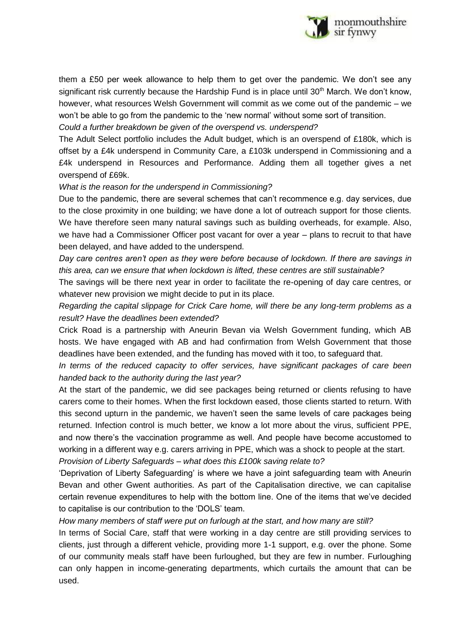

them a £50 per week allowance to help them to get over the pandemic. We don't see any significant risk currently because the Hardship Fund is in place until 30<sup>th</sup> March. We don't know, however, what resources Welsh Government will commit as we come out of the pandemic – we won't be able to go from the pandemic to the 'new normal' without some sort of transition.

*Could a further breakdown be given of the overspend vs. underspend?*

The Adult Select portfolio includes the Adult budget, which is an overspend of £180k, which is offset by a £4k underspend in Community Care, a £103k underspend in Commissioning and a £4k underspend in Resources and Performance. Adding them all together gives a net overspend of £69k.

### *What is the reason for the underspend in Commissioning?*

Due to the pandemic, there are several schemes that can't recommence e.g. day services, due to the close proximity in one building; we have done a lot of outreach support for those clients. We have therefore seen many natural savings such as building overheads, for example. Also, we have had a Commissioner Officer post vacant for over a year – plans to recruit to that have been delayed, and have added to the underspend.

*Day care centres aren't open as they were before because of lockdown. If there are savings in this area, can we ensure that when lockdown is lifted, these centres are still sustainable?*

The savings will be there next year in order to facilitate the re-opening of day care centres, or whatever new provision we might decide to put in its place.

*Regarding the capital slippage for Crick Care home, will there be any long-term problems as a result? Have the deadlines been extended?*

Crick Road is a partnership with Aneurin Bevan via Welsh Government funding, which AB hosts. We have engaged with AB and had confirmation from Welsh Government that those deadlines have been extended, and the funding has moved with it too, to safeguard that.

*In terms of the reduced capacity to offer services, have significant packages of care been handed back to the authority during the last year?*

At the start of the pandemic, we did see packages being returned or clients refusing to have carers come to their homes. When the first lockdown eased, those clients started to return. With this second upturn in the pandemic, we haven't seen the same levels of care packages being returned. Infection control is much better, we know a lot more about the virus, sufficient PPE, and now there's the vaccination programme as well. And people have become accustomed to working in a different way e.g. carers arriving in PPE, which was a shock to people at the start. *Provision of Liberty Safeguards – what does this £100k saving relate to?*

'Deprivation of Liberty Safeguarding' is where we have a joint safeguarding team with Aneurin Bevan and other Gwent authorities. As part of the Capitalisation directive, we can capitalise certain revenue expenditures to help with the bottom line. One of the items that we've decided to capitalise is our contribution to the 'DOLS' team.

# *How many members of staff were put on furlough at the start, and how many are still?*

In terms of Social Care, staff that were working in a day centre are still providing services to clients, just through a different vehicle, providing more 1-1 support, e.g. over the phone. Some of our community meals staff have been furloughed, but they are few in number. Furloughing can only happen in income-generating departments, which curtails the amount that can be used.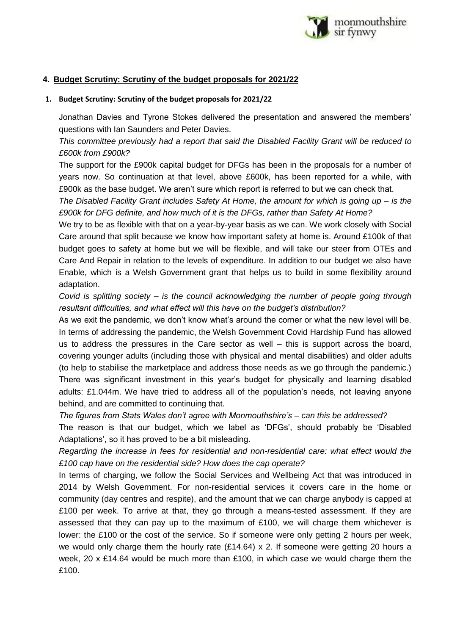

# **4. Budget Scrutiny: Scrutiny of the budget proposals for 2021/22**

### **1. Budget Scrutiny: Scrutiny of the budget proposals for 2021/22**

Jonathan Davies and Tyrone Stokes delivered the presentation and answered the members' questions with Ian Saunders and Peter Davies.

*This committee previously had a report that said the Disabled Facility Grant will be reduced to £600k from £900k?*

The support for the £900k capital budget for DFGs has been in the proposals for a number of years now. So continuation at that level, above £600k, has been reported for a while, with £900k as the base budget. We aren't sure which report is referred to but we can check that.

*The Disabled Facility Grant includes Safety At Home, the amount for which is going up – is the £900k for DFG definite, and how much of it is the DFGs, rather than Safety At Home?*

We try to be as flexible with that on a year-by-year basis as we can. We work closely with Social Care around that split because we know how important safety at home is. Around £100k of that budget goes to safety at home but we will be flexible, and will take our steer from OTEs and Care And Repair in relation to the levels of expenditure. In addition to our budget we also have Enable, which is a Welsh Government grant that helps us to build in some flexibility around adaptation.

*Covid is splitting society – is the council acknowledging the number of people going through resultant difficulties, and what effect will this have on the budget's distribution?*

As we exit the pandemic, we don't know what's around the corner or what the new level will be. In terms of addressing the pandemic, the Welsh Government Covid Hardship Fund has allowed us to address the pressures in the Care sector as well  $-$  this is support across the board. covering younger adults (including those with physical and mental disabilities) and older adults (to help to stabilise the marketplace and address those needs as we go through the pandemic.) There was significant investment in this year's budget for physically and learning disabled adults: £1.044m. We have tried to address all of the population's needs, not leaving anyone behind, and are committed to continuing that.

*The figures from Stats Wales don't agree with Monmouthshire's – can this be addressed?*

The reason is that our budget, which we label as 'DFGs', should probably be 'Disabled Adaptations', so it has proved to be a bit misleading.

*Regarding the increase in fees for residential and non-residential care: what effect would the £100 cap have on the residential side? How does the cap operate?*

In terms of charging, we follow the Social Services and Wellbeing Act that was introduced in 2014 by Welsh Government. For non-residential services it covers care in the home or community (day centres and respite), and the amount that we can charge anybody is capped at £100 per week. To arrive at that, they go through a means-tested assessment. If they are assessed that they can pay up to the maximum of £100, we will charge them whichever is lower: the £100 or the cost of the service. So if someone were only getting 2 hours per week, we would only charge them the hourly rate  $(E14.64)$  x 2. If someone were getting 20 hours a week, 20 x £14.64 would be much more than £100, in which case we would charge them the £100.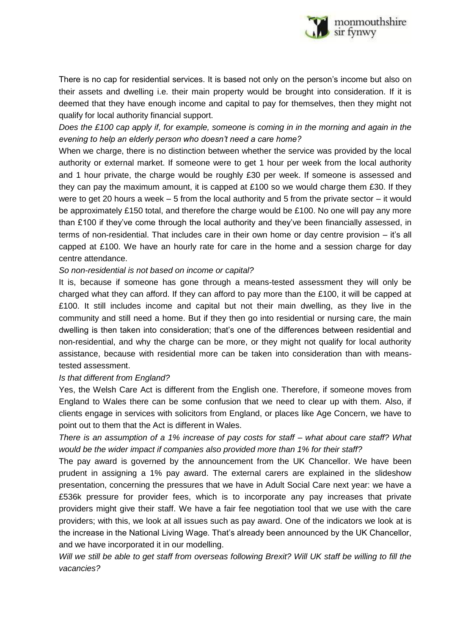

There is no cap for residential services. It is based not only on the person's income but also on their assets and dwelling i.e. their main property would be brought into consideration. If it is deemed that they have enough income and capital to pay for themselves, then they might not qualify for local authority financial support.

*Does the £100 cap apply if, for example, someone is coming in in the morning and again in the evening to help an elderly person who doesn't need a care home?*

When we charge, there is no distinction between whether the service was provided by the local authority or external market. If someone were to get 1 hour per week from the local authority and 1 hour private, the charge would be roughly £30 per week. If someone is assessed and they can pay the maximum amount, it is capped at £100 so we would charge them £30. If they were to get 20 hours a week – 5 from the local authority and 5 from the private sector – it would be approximately £150 total, and therefore the charge would be £100. No one will pay any more than £100 if they've come through the local authority and they've been financially assessed, in terms of non-residential. That includes care in their own home or day centre provision – it's all capped at £100. We have an hourly rate for care in the home and a session charge for day centre attendance.

# *So non-residential is not based on income or capital?*

It is, because if someone has gone through a means-tested assessment they will only be charged what they can afford. If they can afford to pay more than the £100, it will be capped at £100. It still includes income and capital but not their main dwelling, as they live in the community and still need a home. But if they then go into residential or nursing care, the main dwelling is then taken into consideration; that's one of the differences between residential and non-residential, and why the charge can be more, or they might not qualify for local authority assistance, because with residential more can be taken into consideration than with meanstested assessment.

# *Is that different from England?*

Yes, the Welsh Care Act is different from the English one. Therefore, if someone moves from England to Wales there can be some confusion that we need to clear up with them. Also, if clients engage in services with solicitors from England, or places like Age Concern, we have to point out to them that the Act is different in Wales.

*There is an assumption of a 1% increase of pay costs for staff – what about care staff? What would be the wider impact if companies also provided more than 1% for their staff?*

The pay award is governed by the announcement from the UK Chancellor. We have been prudent in assigning a 1% pay award. The external carers are explained in the slideshow presentation, concerning the pressures that we have in Adult Social Care next year: we have a £536k pressure for provider fees, which is to incorporate any pay increases that private providers might give their staff. We have a fair fee negotiation tool that we use with the care providers; with this, we look at all issues such as pay award. One of the indicators we look at is the increase in the National Living Wage. That's already been announced by the UK Chancellor, and we have incorporated it in our modelling.

*Will we still be able to get staff from overseas following Brexit? Will UK staff be willing to fill the vacancies?*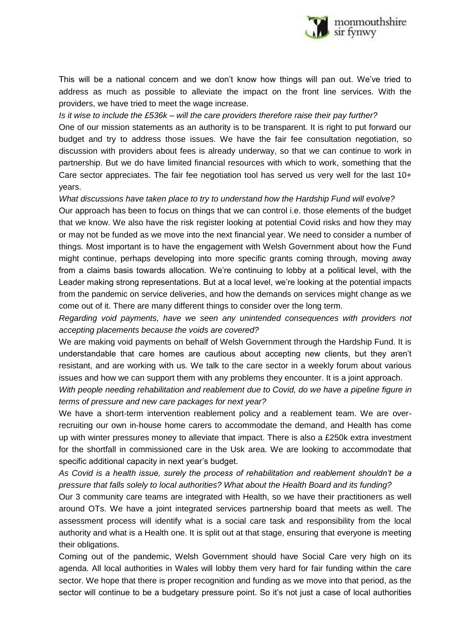

This will be a national concern and we don't know how things will pan out. We've tried to address as much as possible to alleviate the impact on the front line services. With the providers, we have tried to meet the wage increase.

### *Is it wise to include the £536k – will the care providers therefore raise their pay further?*

One of our mission statements as an authority is to be transparent. It is right to put forward our budget and try to address those issues. We have the fair fee consultation negotiation, so discussion with providers about fees is already underway, so that we can continue to work in partnership. But we do have limited financial resources with which to work, something that the Care sector appreciates. The fair fee negotiation tool has served us very well for the last 10+ years.

### *What discussions have taken place to try to understand how the Hardship Fund will evolve?*

Our approach has been to focus on things that we can control i.e. those elements of the budget that we know. We also have the risk register looking at potential Covid risks and how they may or may not be funded as we move into the next financial year. We need to consider a number of things. Most important is to have the engagement with Welsh Government about how the Fund might continue, perhaps developing into more specific grants coming through, moving away from a claims basis towards allocation. We're continuing to lobby at a political level, with the Leader making strong representations. But at a local level, we're looking at the potential impacts from the pandemic on service deliveries, and how the demands on services might change as we come out of it. There are many different things to consider over the long term.

*Regarding void payments, have we seen any unintended consequences with providers not accepting placements because the voids are covered?*

We are making void payments on behalf of Welsh Government through the Hardship Fund. It is understandable that care homes are cautious about accepting new clients, but they aren't resistant, and are working with us. We talk to the care sector in a weekly forum about various issues and how we can support them with any problems they encounter. It is a joint approach.

*With people needing rehabilitation and reablement due to Covid, do we have a pipeline figure in terms of pressure and new care packages for next year?*

We have a short-term intervention reablement policy and a reablement team. We are overrecruiting our own in-house home carers to accommodate the demand, and Health has come up with winter pressures money to alleviate that impact. There is also a £250k extra investment for the shortfall in commissioned care in the Usk area. We are looking to accommodate that specific additional capacity in next year's budget.

*As Covid is a health issue, surely the process of rehabilitation and reablement shouldn't be a pressure that falls solely to local authorities? What about the Health Board and its funding?*

Our 3 community care teams are integrated with Health, so we have their practitioners as well around OTs. We have a joint integrated services partnership board that meets as well. The assessment process will identify what is a social care task and responsibility from the local authority and what is a Health one. It is split out at that stage, ensuring that everyone is meeting their obligations.

Coming out of the pandemic, Welsh Government should have Social Care very high on its agenda. All local authorities in Wales will lobby them very hard for fair funding within the care sector. We hope that there is proper recognition and funding as we move into that period, as the sector will continue to be a budgetary pressure point. So it's not just a case of local authorities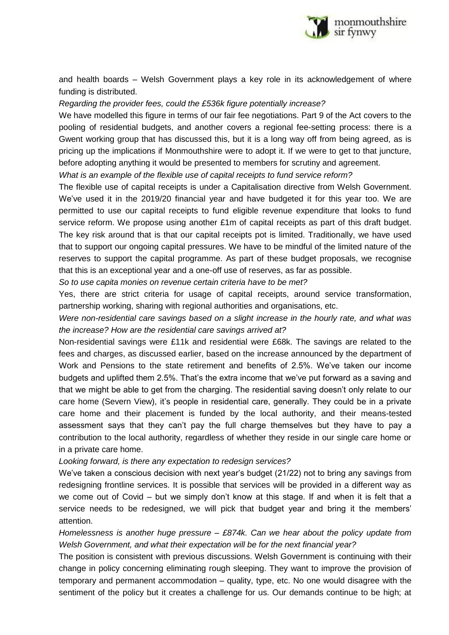

and health boards – Welsh Government plays a key role in its acknowledgement of where funding is distributed.

*Regarding the provider fees, could the £536k figure potentially increase?*

We have modelled this figure in terms of our fair fee negotiations. Part 9 of the Act covers to the pooling of residential budgets, and another covers a regional fee-setting process: there is a Gwent working group that has discussed this, but it is a long way off from being agreed, as is pricing up the implications if Monmouthshire were to adopt it. If we were to get to that juncture, before adopting anything it would be presented to members for scrutiny and agreement.

*What is an example of the flexible use of capital receipts to fund service reform?*

The flexible use of capital receipts is under a Capitalisation directive from Welsh Government. We've used it in the 2019/20 financial year and have budgeted it for this year too. We are permitted to use our capital receipts to fund eligible revenue expenditure that looks to fund service reform. We propose using another £1m of capital receipts as part of this draft budget. The key risk around that is that our capital receipts pot is limited. Traditionally, we have used that to support our ongoing capital pressures. We have to be mindful of the limited nature of the reserves to support the capital programme. As part of these budget proposals, we recognise that this is an exceptional year and a one-off use of reserves, as far as possible.

*So to use capita monies on revenue certain criteria have to be met?*

Yes, there are strict criteria for usage of capital receipts, around service transformation, partnership working, sharing with regional authorities and organisations, etc.

*Were non-residential care savings based on a slight increase in the hourly rate, and what was the increase? How are the residential care savings arrived at?*

Non-residential savings were £11k and residential were £68k. The savings are related to the fees and charges, as discussed earlier, based on the increase announced by the department of Work and Pensions to the state retirement and benefits of 2.5%. We've taken our income budgets and uplifted them 2.5%. That's the extra income that we've put forward as a saving and that we might be able to get from the charging. The residential saving doesn't only relate to our care home (Severn View), it's people in residential care, generally. They could be in a private care home and their placement is funded by the local authority, and their means-tested assessment says that they can't pay the full charge themselves but they have to pay a contribution to the local authority, regardless of whether they reside in our single care home or in a private care home.

*Looking forward, is there any expectation to redesign services?*

We've taken a conscious decision with next year's budget (21/22) not to bring any savings from redesigning frontline services. It is possible that services will be provided in a different way as we come out of Covid – but we simply don't know at this stage. If and when it is felt that a service needs to be redesigned, we will pick that budget year and bring it the members' attention.

*Homelessness is another huge pressure – £874k. Can we hear about the policy update from Welsh Government, and what their expectation will be for the next financial year?*

The position is consistent with previous discussions. Welsh Government is continuing with their change in policy concerning eliminating rough sleeping. They want to improve the provision of temporary and permanent accommodation – quality, type, etc. No one would disagree with the sentiment of the policy but it creates a challenge for us. Our demands continue to be high; at